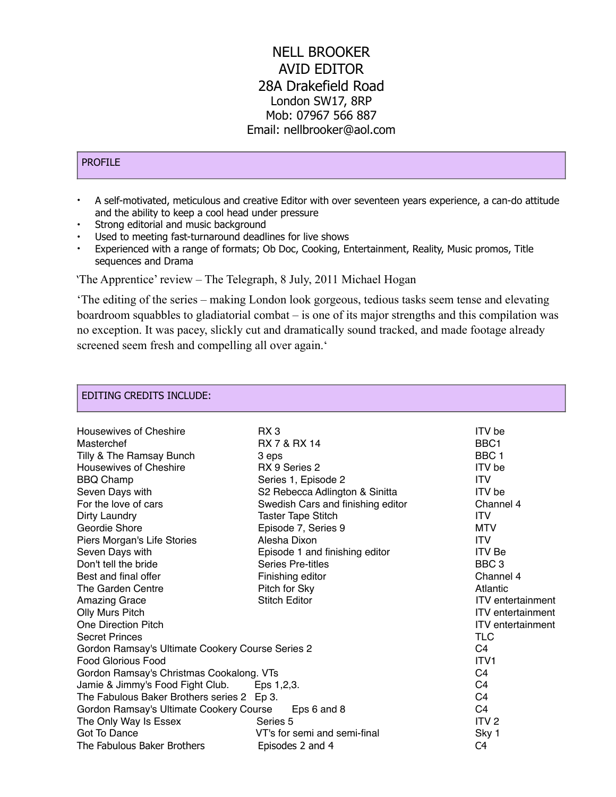# NELL BROOKER AVID EDITOR 28A Drakefield Road London SW17, 8RP Mob: 07967 566 887 Email: nellbrooker@aol.com

### PROFILE

- A self-motivated, meticulous and creative Editor with over seventeen years experience, a can-do attitude and the ability to keep a cool head under pressure
- Strong editorial and music background
- Used to meeting fast-turnaround deadlines for live shows
- Experienced with a range of formats; Ob Doc, Cooking, Entertainment, Reality, Music promos, Title sequences and Drama

'The Apprentice' review – The Telegraph, 8 July, 2011 Michael Hogan

'The editing of the series – making London look gorgeous, tedious tasks seem tense and elevating boardroom squabbles to gladiatorial combat – is one of its major strengths and this compilation was no exception. It was pacey, slickly cut and dramatically sound tracked, and made footage already screened seem fresh and compelling all over again.'

### EDITING CREDITS INCLUDE:

| <b>Housewives of Cheshire</b>                          | RX <sub>3</sub>                   | <b>ITV</b> be            |
|--------------------------------------------------------|-----------------------------------|--------------------------|
| Masterchef                                             | <b>RX 7 &amp; RX 14</b>           | BBC <sub>1</sub>         |
| Tilly & The Ramsay Bunch                               | 3 eps                             | BBC <sub>1</sub>         |
| <b>Housewives of Cheshire</b>                          | RX 9 Series 2                     | <b>ITV</b> be            |
| <b>BBQ Champ</b>                                       | Series 1, Episode 2               | <b>ITV</b>               |
| Seven Days with                                        | S2 Rebecca Adlington & Sinitta    | <b>ITV</b> be            |
| For the love of cars                                   | Swedish Cars and finishing editor | Channel 4                |
| Dirty Laundry                                          | <b>Taster Tape Stitch</b>         | <b>ITV</b>               |
| Geordie Shore                                          | Episode 7, Series 9               | <b>MTV</b>               |
| Piers Morgan's Life Stories                            | Alesha Dixon                      | <b>ITV</b>               |
| Seven Days with                                        | Episode 1 and finishing editor    | <b>ITV</b> Be            |
| Don't tell the bride                                   | <b>Series Pre-titles</b>          | BBC <sub>3</sub>         |
| Best and final offer                                   | Finishing editor                  | Channel 4                |
| The Garden Centre                                      | Pitch for Sky                     | Atlantic                 |
| <b>Amazing Grace</b>                                   | <b>Stitch Editor</b>              | <b>ITV</b> entertainment |
| Olly Murs Pitch                                        |                                   | <b>ITV</b> entertainment |
| <b>One Direction Pitch</b>                             |                                   | <b>ITV</b> entertainment |
| <b>Secret Princes</b>                                  |                                   | <b>TLC</b>               |
| Gordon Ramsay's Ultimate Cookery Course Series 2       |                                   | C <sub>4</sub>           |
| <b>Food Glorious Food</b>                              | ITV <sub>1</sub>                  |                          |
| Gordon Ramsay's Christmas Cookalong. VTs               |                                   | C <sub>4</sub>           |
| Jamie & Jimmy's Food Fight Club. Eps 1,2,3.            |                                   | C <sub>4</sub>           |
| The Fabulous Baker Brothers series 2 Ep 3.             |                                   | C <sub>4</sub>           |
| Gordon Ramsay's Ultimate Cookery Course<br>Eps 6 and 8 |                                   | C <sub>4</sub>           |
| The Only Way Is Essex                                  | Series 5                          | ITV <sub>2</sub>         |
| Got To Dance                                           | VT's for semi and semi-final      | Sky 1                    |
| The Fabulous Baker Brothers                            | Episodes 2 and 4                  | C4                       |
|                                                        |                                   |                          |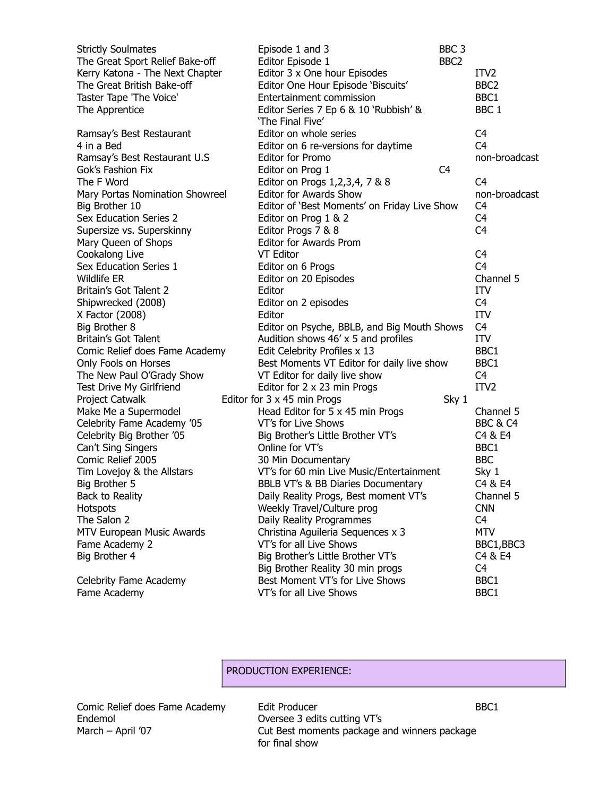| <b>Strictly Soulmates</b>       | Episode 1 and 3                              | BBC <sub>3</sub> |                  |
|---------------------------------|----------------------------------------------|------------------|------------------|
| The Great Sport Relief Bake-off | Editor Episode 1                             | BBC <sub>2</sub> |                  |
| Kerry Katona - The Next Chapter | Editor 3 x One hour Episodes                 |                  | ITV <sub>2</sub> |
| The Great British Bake-off      | Editor One Hour Episode 'Biscuits'           |                  | BBC <sub>2</sub> |
| Taster Tape 'The Voice'         | Entertainment commission                     |                  | BBC1             |
| The Apprentice                  | Editor Series 7 Ep 6 & 10 'Rubbish' &        |                  | BBC <sub>1</sub> |
|                                 | 'The Final Five'                             |                  |                  |
| Ramsay's Best Restaurant        | Editor on whole series                       |                  | C4               |
| 4 in a Bed                      | Editor on 6 re-versions for daytime          |                  | C <sub>4</sub>   |
| Ramsay's Best Restaurant U.S    | <b>Editor for Promo</b>                      |                  | non-broadcast    |
| Gok's Fashion Fix               | Editor on Prog 1                             | C4               |                  |
| The F Word                      | Editor on Progs 1, 2, 3, 4, 7 & 8            |                  | C <sub>4</sub>   |
| Mary Portas Nomination Showreel | <b>Editor for Awards Show</b>                |                  | non-broadcast    |
| Big Brother 10                  | Editor of 'Best Moments' on Friday Live Show |                  | C4               |
| Sex Education Series 2          | Editor on Prog 1 & 2                         |                  | C <sub>4</sub>   |
| Supersize vs. Superskinny       | Editor Progs 7 & 8                           |                  | C <sub>4</sub>   |
| Mary Queen of Shops             | <b>Editor for Awards Prom</b>                |                  |                  |
| Cookalong Live                  | VT Editor                                    |                  | C <sub>4</sub>   |
| Sex Education Series 1          | Editor on 6 Progs                            |                  | C <sub>4</sub>   |
| Wildlife ER                     | Editor on 20 Episodes                        |                  | Channel 5        |
| Britain's Got Talent 2          | Editor                                       |                  | <b>ITV</b>       |
| Shipwrecked (2008)              | Editor on 2 episodes                         |                  | C4               |
| X Factor (2008)                 | Editor                                       |                  | ITV              |
| Big Brother 8                   | Editor on Psyche, BBLB, and Big Mouth Shows  |                  | C <sub>4</sub>   |
| Britain's Got Talent            | Audition shows 46' x 5 and profiles          |                  | ITV              |
| Comic Relief does Fame Academy  | Edit Celebrity Profiles x 13                 |                  | BBC1             |
| Only Fools on Horses            | Best Moments VT Editor for daily live show   |                  | BBC1             |
| The New Paul O'Grady Show       | VT Editor for daily live show                |                  | C <sub>4</sub>   |
| Test Drive My Girlfriend        | Editor for 2 x 23 min Progs                  |                  | ITV <sub>2</sub> |
| Project Catwalk                 | Editor for 3 x 45 min Progs                  | Sky 1            |                  |
| Make Me a Supermodel            | Head Editor for 5 x 45 min Progs             |                  | Channel 5        |
| Celebrity Fame Academy '05      | VT's for Live Shows                          |                  | BBC & C4         |
| Celebrity Big Brother '05       | Big Brother's Little Brother VT's            |                  | C4 & E4          |
| Can't Sing Singers              | Online for VT's                              |                  | BBC1             |
| Comic Relief 2005               | 30 Min Documentary                           |                  | <b>BBC</b>       |
| Tim Lovejoy & the Allstars      | VT's for 60 min Live Music/Entertainment     |                  | Sky 1            |
| Big Brother 5                   | BBLB VT's & BB Diaries Documentary           |                  | C4 & E4          |
| Back to Reality                 | Daily Reality Progs, Best moment VT's        |                  | Channel 5        |
| <b>Hotspots</b>                 | Weekly Travel/Culture prog                   |                  | <b>CNN</b>       |
| The Salon 2                     | Daily Reality Programmes                     |                  | C <sub>4</sub>   |
| MTV European Music Awards       | Christina Aguileria Sequences x 3            |                  | <b>MTV</b>       |
| Fame Academy 2                  | VT's for all Live Shows                      |                  | BBC1, BBC3       |
| Big Brother 4                   | Big Brother's Little Brother VT's            |                  | C4 & E4          |
|                                 | Big Brother Reality 30 min progs             |                  | C <sub>4</sub>   |
| Celebrity Fame Academy          | Best Moment VT's for Live Shows              |                  | BBC1             |
| Fame Academy                    | VT's for all Live Shows                      |                  | BBC1             |
|                                 |                                              |                  |                  |

## PRODUCTION EXPERIENCE:

Endemol Oversee 3 edits cutting VT's

Comic Relief does Fame Academy Edit Producer and Edit Producer BBC1 March – April '07 Cut Best moments package and winners package for final show